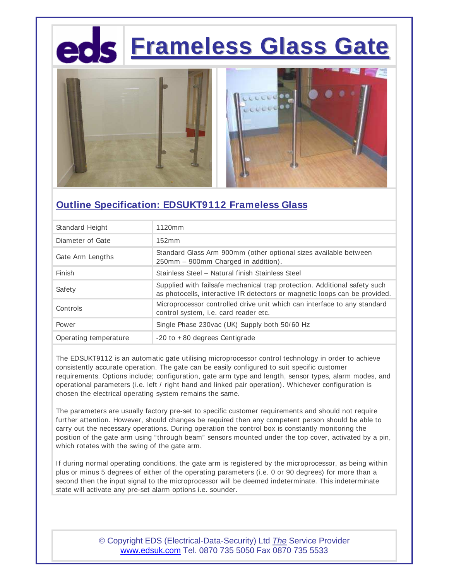## **Frameless Glass Gate**



### **Outline Specification: EDSUKT9112 Frameless Glass**

| Standard Height       | 1120mm                                                                                                                                                  |  |  |
|-----------------------|---------------------------------------------------------------------------------------------------------------------------------------------------------|--|--|
| Diameter of Gate      | 152mm                                                                                                                                                   |  |  |
| Gate Arm Lengths      | Standard Glass Arm 900mm (other optional sizes available between<br>250mm – 900mm Charged in addition).                                                 |  |  |
| Finish                | Stainless Steel - Natural finish Stainless Steel                                                                                                        |  |  |
| Safety                | Supplied with failsafe mechanical trap protection. Additional safety such<br>as photocells, interactive IR detectors or magnetic loops can be provided. |  |  |
| Controls              | Microprocessor controlled drive unit which can interface to any standard<br>control system, i.e. card reader etc.                                       |  |  |
| Power                 | Single Phase 230vac (UK) Supply both 50/60 Hz                                                                                                           |  |  |
| Operating temperature | $-20$ to $+80$ degrees Centigrade                                                                                                                       |  |  |

The EDSUKT9112 is an automatic gate utilising microprocessor control technology in order to achieve consistently accurate operation. The gate can be easily configured to suit specific customer requirements. Options include; configuration, gate arm type and length, sensor types, alarm modes, and operational parameters (i.e. left / right hand and linked pair operation). Whichever configuration is chosen the electrical operating system remains the same.

The parameters are usually factory pre-set to specific customer requirements and should not require further attention. However, should changes be required then any competent person should be able to carry out the necessary operations. During operation the control box is constantly monitoring the position of the gate arm using "through beam" sensors mounted under the top cover, activated by a pin, which rotates with the swing of the gate arm.

If during normal operating conditions, the gate arm is registered by the microprocessor, as being within plus or minus 5 degrees of either of the operating parameters (i.e. 0 or 90 degrees) for more than a second then the input signal to the microprocessor will be deemed indeterminate. This indeterminate state will activate any pre-set alarm options i.e. sounder.

> © Copyright EDS (Electrical-Data-Security) Ltd *The* Service Provider www.edsuk.com Tel. 0870 735 5050 Fax 0870 735 5533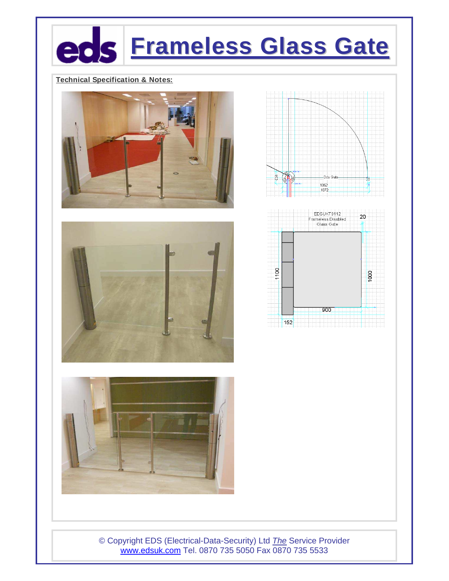# **Frameless Glass Gate**

### **Technical Specification & Notes:**











© Copyright EDS (Electrical-Data-Security) Ltd The Service Provider www.edsuk.com Tel. 0870 735 5050 Fax 0870 735 5533